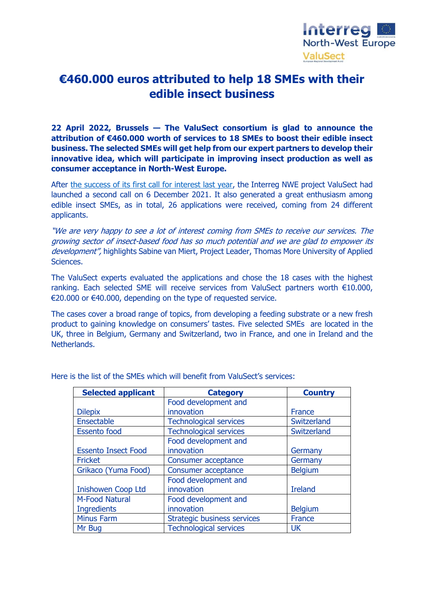

## **€460.000 euros attributed to help 18 SMEs with their edible insect business**

**22 April 2022, Brussels — The ValuSect consortium is glad to announce the attribution of €460.000 worth of services to 18 SMEs to boost their edible insect business. The selected SMEs will get help from our expert partners to develop their innovative idea, which will participate in improving insect production as well as consumer acceptance in North-West Europe.**

After [the success of its first call for interest last year,](https://www.nweurope.eu/projects/project-search/valusect/news/towards-more-insects-in-our-plate-410-000-attributed-to-edible-insects-smes/) the Interreg NWE project ValuSect had launched a second call on 6 December 2021. It also generated a great enthusiasm among edible insect SMEs, as in total, 26 applications were received, coming from 24 different applicants.

"We are very happy to see a lot of interest coming from SMEs to receive our services. The growing sector of insect-based food has so much potential and we are glad to empower its development", highlights Sabine van Miert, Project Leader, Thomas More University of Applied Sciences.

The ValuSect experts evaluated the applications and chose the 18 cases with the highest ranking. Each selected SME will receive services from ValuSect partners worth €10.000, €20.000 or €40.000, depending on the type of requested service.

The cases cover a broad range of topics, from developing a feeding substrate or a new fresh product to gaining knowledge on consumers' tastes. Five selected SMEs are located in the UK, three in Belgium, Germany and Switzerland, two in France, and one in Ireland and the Netherlands.

| <b>Selected applicant</b>  | <b>Category</b>                    | <b>Country</b> |
|----------------------------|------------------------------------|----------------|
|                            | Food development and               |                |
| <b>Dilepix</b>             | innovation                         | France         |
| Ensectable                 | <b>Technological services</b>      | Switzerland    |
| <b>Essento food</b>        | <b>Technological services</b>      | Switzerland    |
|                            | Food development and               |                |
| <b>Essento Insect Food</b> | innovation                         | Germany        |
| <b>Fricket</b>             | Consumer acceptance                | Germany        |
| Grikaco (Yuma Food)        | Consumer acceptance                | <b>Belgium</b> |
|                            | Food development and               |                |
| <b>Inishowen Coop Ltd</b>  | innovation                         | <b>Ireland</b> |
| <b>M-Food Natural</b>      | Food development and               |                |
| <b>Ingredients</b>         | innovation                         | <b>Belgium</b> |
| <b>Minus Farm</b>          | <b>Strategic business services</b> | France         |
| Mr Bug                     | <b>Technological services</b>      | <b>UK</b>      |

Here is the list of the SMEs which will benefit from ValuSect's services: